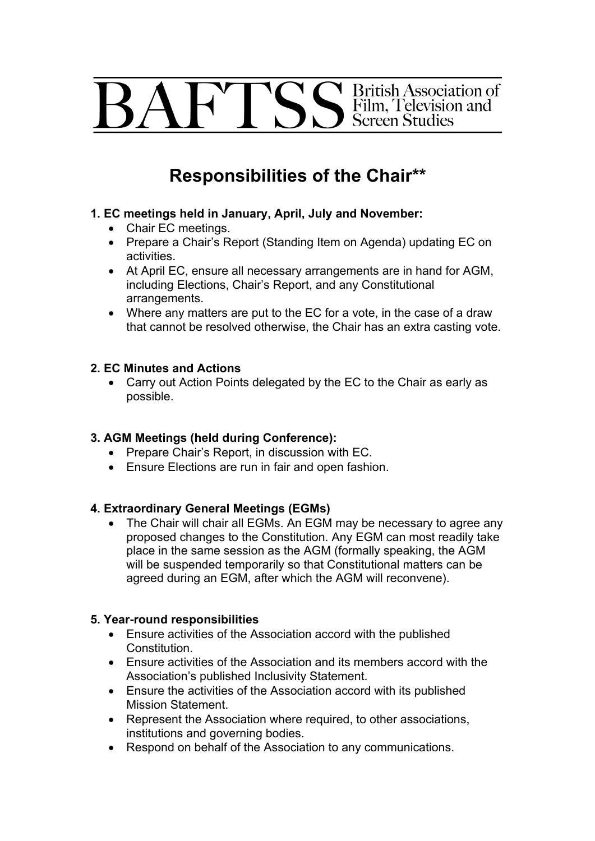# British Association of<br>Film, Television and FTS **Screen Studies**

# **Responsibilities of the Chair\*\***

### **1. EC meetings held in January, April, July and November:**

- Chair EC meetings.
- Prepare a Chair's Report (Standing Item on Agenda) updating EC on activities.
- At April EC, ensure all necessary arrangements are in hand for AGM, including Elections, Chair's Report, and any Constitutional arrangements.
- Where any matters are put to the EC for a vote, in the case of a draw that cannot be resolved otherwise, the Chair has an extra casting vote.

#### **2. EC Minutes and Actions**

• Carry out Action Points delegated by the EC to the Chair as early as possible.

### **3. AGM Meetings (held during Conference):**

- Prepare Chair's Report, in discussion with EC.
- Ensure Elections are run in fair and open fashion.

### **4. Extraordinary General Meetings (EGMs)**

• The Chair will chair all EGMs. An EGM may be necessary to agree any proposed changes to the Constitution. Any EGM can most readily take place in the same session as the AGM (formally speaking, the AGM will be suspended temporarily so that Constitutional matters can be agreed during an EGM, after which the AGM will reconvene).

### **5. Year-round responsibilities**

- Ensure activities of the Association accord with the published Constitution.
- Ensure activities of the Association and its members accord with the Association's published Inclusivity Statement.
- Ensure the activities of the Association accord with its published Mission Statement.
- Represent the Association where required, to other associations, institutions and governing bodies.
- Respond on behalf of the Association to any communications.